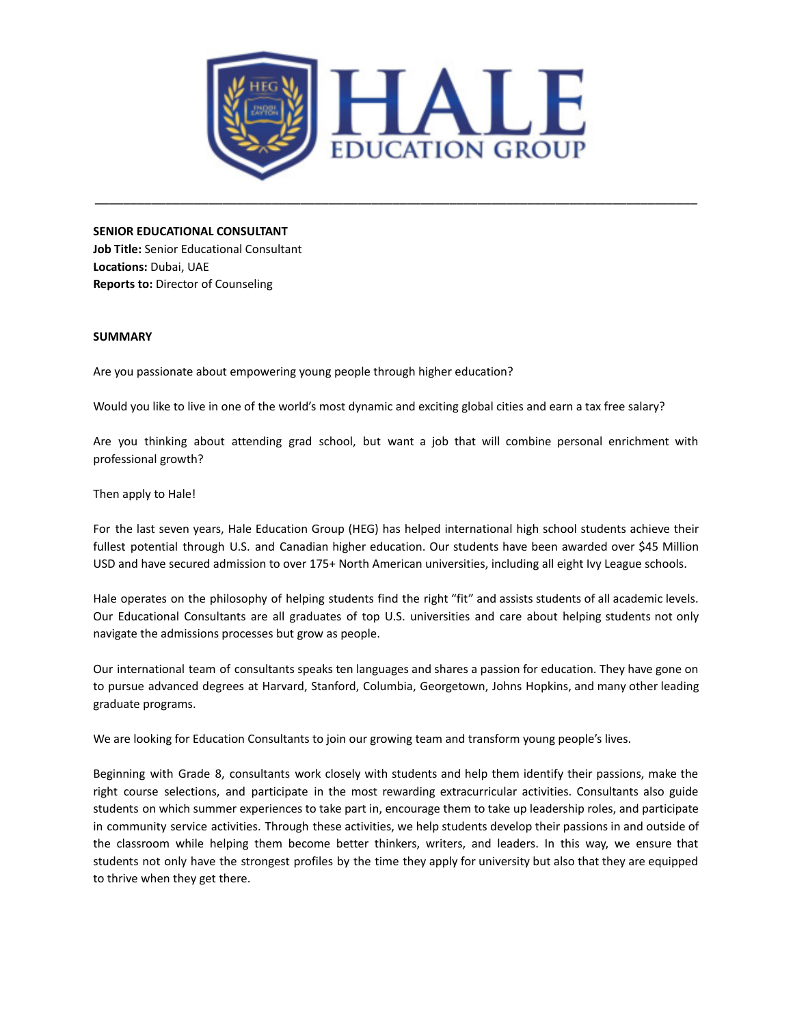

\_\_\_\_\_\_\_\_\_\_\_\_\_\_\_\_\_\_\_\_\_\_\_\_\_\_\_\_\_\_\_\_\_\_\_\_\_\_\_\_\_\_\_\_\_\_\_\_\_\_\_\_\_\_\_\_\_\_\_\_\_\_\_\_\_\_\_\_\_\_\_\_\_\_\_\_\_\_\_\_\_\_\_\_\_

#### **SENIOR EDUCATIONAL CONSULTANT**

**Job Title:** Senior Educational Consultant **Locations:** Dubai, UAE **Reports to:** Director of Counseling

#### **SUMMARY**

Are you passionate about empowering young people through higher education?

Would you like to live in one of the world's most dynamic and exciting global cities and earn a tax free salary?

Are you thinking about attending grad school, but want a job that will combine personal enrichment with professional growth?

Then apply to Hale!

For the last seven years, Hale Education Group (HEG) has helped international high school students achieve their fullest potential through U.S. and Canadian higher education. Our students have been awarded over \$45 Million USD and have secured admission to over 175+ North American universities, including all eight Ivy League schools.

Hale operates on the philosophy of helping students find the right "fit" and assists students of all academic levels. Our Educational Consultants are all graduates of top U.S. universities and care about helping students not only navigate the admissions processes but grow as people.

Our international team of consultants speaks ten languages and shares a passion for education. They have gone on to pursue advanced degrees at Harvard, Stanford, Columbia, Georgetown, Johns Hopkins, and many other leading graduate programs.

We are looking for Education Consultants to join our growing team and transform young people's lives.

Beginning with Grade 8, consultants work closely with students and help them identify their passions, make the right course selections, and participate in the most rewarding extracurricular activities. Consultants also guide students on which summer experiences to take part in, encourage them to take up leadership roles, and participate in community service activities. Through these activities, we help students develop their passions in and outside of the classroom while helping them become better thinkers, writers, and leaders. In this way, we ensure that students not only have the strongest profiles by the time they apply for university but also that they are equipped to thrive when they get there.